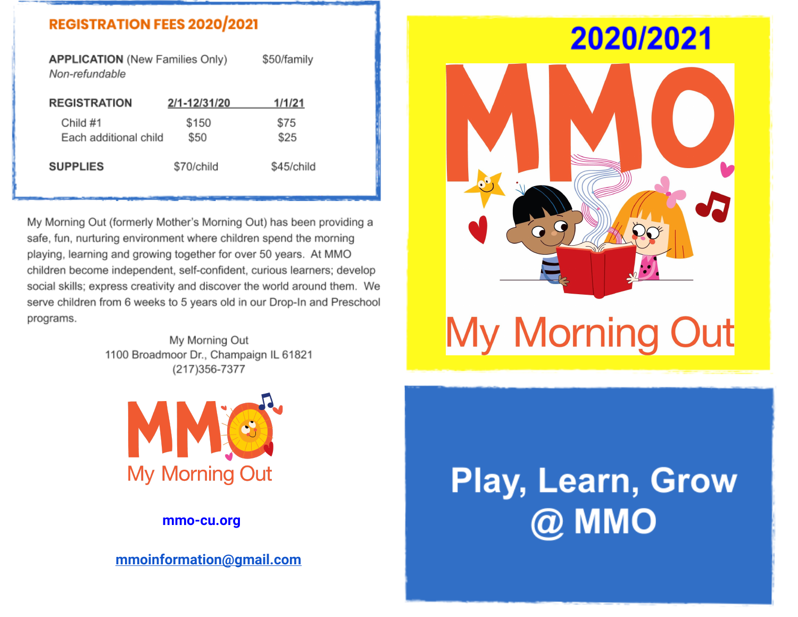### **REGISTRATION FEES 2020/2021**

\$50/family **APPLICATION** (New Families Only) Non-refundable

| <b>REGISTRATION</b>               | 2/1-12/31/20  | 1/1/21       |
|-----------------------------------|---------------|--------------|
| Child #1<br>Each additional child | \$150<br>\$50 | \$75<br>\$25 |
| <b>SUPPLIES</b>                   | \$70/child    | \$45/child   |

My Morning Out (formerly Mother's Morning Out) has been providing a safe, fun, nurturing environment where children spend the morning playing, learning and growing together for over 50 years. At MMO children become independent, self-confident, curious learners; develop social skills; express creativity and discover the world around them. We serve children from 6 weeks to 5 years old in our Drop-In and Preschool programs.

> My Morning Out 1100 Broadmoor Dr., Champaign IL 61821 (217) 356-7377



### **mmo-cu.org**

**[mmoinformation@gmail.com](mailto:mmoinformation@gmail.com)**

# 2020/2021



# **Play, Learn, Grow** @ MMO